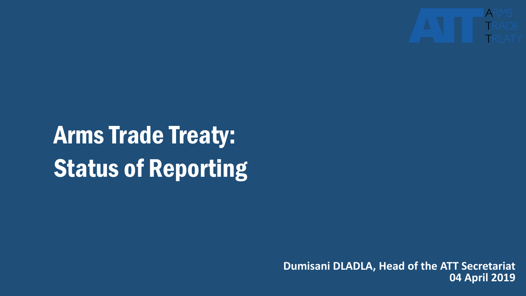

# Arms Trade Treaty: Status of Reporting

**Dumisani DLADLA, Head of the ATT Secretariat 04 April 2019**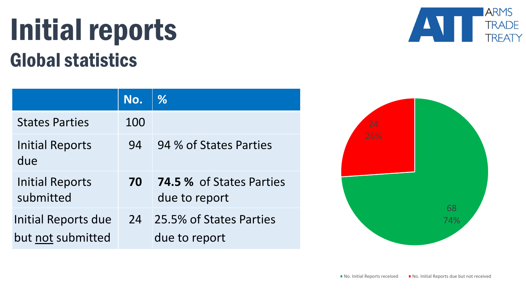### Initial reports Global statistics

|                                          | No. | %                                                |
|------------------------------------------|-----|--------------------------------------------------|
| <b>States Parties</b>                    | 100 |                                                  |
| <b>Initial Reports</b><br>due            | 94  | 94 % of States Parties                           |
| <b>Initial Reports</b><br>submitted      | 70  | <b>74.5 % of States Parties</b><br>due to report |
| Initial Reports due<br>but not submitted | 24  | 25.5% of States Parties<br>due to report         |



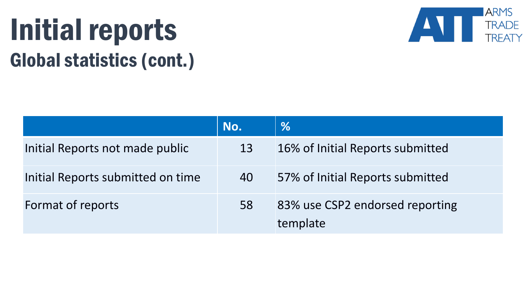# Initial reports Global statistics (cont.)



|                                   | No. | $\frac{0}{6}$                               |
|-----------------------------------|-----|---------------------------------------------|
| Initial Reports not made public   | 13  | 16% of Initial Reports submitted            |
| Initial Reports submitted on time | 40  | 57% of Initial Reports submitted            |
| Format of reports                 | 58  | 83% use CSP2 endorsed reporting<br>template |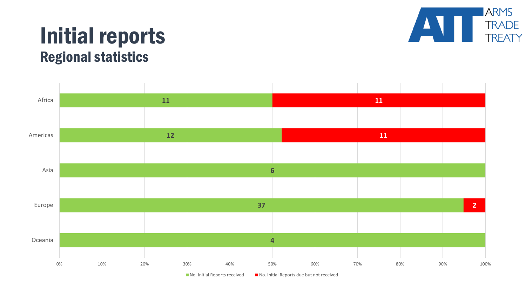

#### Initial reports Regional statistics



 $\blacksquare$  No. Initial Reports received  $\blacksquare$  No. Initial Reports due but not received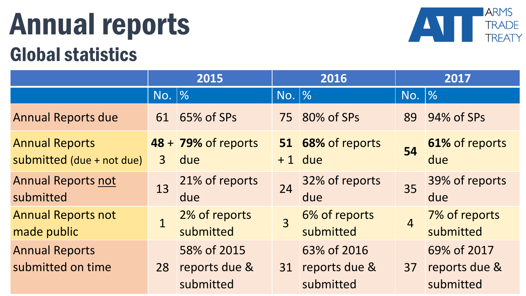## Annual reports Global statistics



|                                                    | 2015           |                                           | 2016           |                                           | 2017                                             |                                           |
|----------------------------------------------------|----------------|-------------------------------------------|----------------|-------------------------------------------|--------------------------------------------------|-------------------------------------------|
|                                                    | No. <b>%</b>   |                                           | No.  %         |                                           | $\overline{\mathsf{No.}}~\overline{\mathscr{%}}$ |                                           |
| <b>Annual Reports due</b>                          | 61             | 65% of SPs                                |                | 75 80% of SPs                             | 89                                               | 94% of SPs                                |
| <b>Annual Reports</b><br>submitted (due + not due) | $\overline{3}$ | 48 + 79% of reports<br>due                |                | 51 68% of reports<br>$+1$ due             | 54                                               | 61% of reports<br>due                     |
| <b>Annual Reports not</b><br>submitted             | 13             | 21% of reports<br>due                     | 24             | 32% of reports<br>due                     | 35                                               | 39% of reports<br>due                     |
| <b>Annual Reports not</b><br>made public           | $\overline{1}$ | 2% of reports<br>submitted                | $\overline{3}$ | 6% of reports<br>submitted                | $\overline{4}$                                   | 7% of reports<br>submitted                |
| <b>Annual Reports</b><br>submitted on time         | 28             | 58% of 2015<br>reports due &<br>submitted | 31             | 63% of 2016<br>reports due &<br>submitted | 37                                               | 69% of 2017<br>reports due &<br>submitted |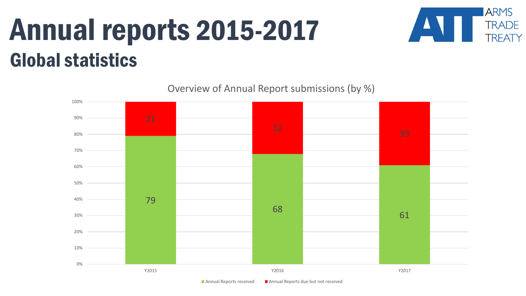## Annual reports 2015-2017 Global statistics



Overview of Annual Report submissions (by %)